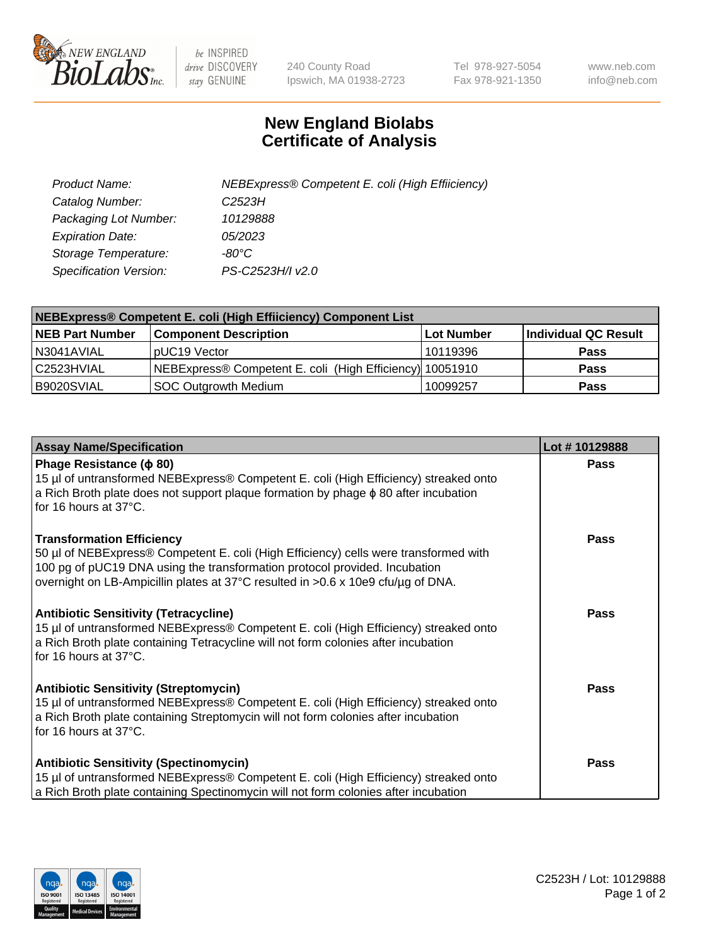

 $be$  INSPIRED drive DISCOVERY stay GENUINE

240 County Road Ipswich, MA 01938-2723 Tel 978-927-5054 Fax 978-921-1350 www.neb.com info@neb.com

## **New England Biolabs Certificate of Analysis**

| Product Name:           | NEBExpress® Competent E. coli (High Effiiciency) |
|-------------------------|--------------------------------------------------|
| Catalog Number:         | C2523H                                           |
| Packaging Lot Number:   | 10129888                                         |
| <b>Expiration Date:</b> | <i>05/2023</i>                                   |
| Storage Temperature:    | -80°C                                            |
| Specification Version:  | PS-C2523H/I v2.0                                 |

| NEBExpress® Competent E. coli (High Effiiciency) Component List |                                                          |            |                      |  |
|-----------------------------------------------------------------|----------------------------------------------------------|------------|----------------------|--|
| <b>NEB Part Number</b>                                          | <b>Component Description</b>                             | Lot Number | Individual QC Result |  |
| N3041AVIAL                                                      | pUC19 Vector                                             | 10119396   | <b>Pass</b>          |  |
| l C2523HVIAL                                                    | NEBExpress® Competent E. coli (High Efficiency) 10051910 |            | <b>Pass</b>          |  |
| B9020SVIAL                                                      | <b>SOC Outgrowth Medium</b>                              | 10099257   | <b>Pass</b>          |  |

| <b>Assay Name/Specification</b>                                                                                                                                                                                                                                                            | Lot #10129888 |
|--------------------------------------------------------------------------------------------------------------------------------------------------------------------------------------------------------------------------------------------------------------------------------------------|---------------|
| Phage Resistance ( $\phi$ 80)<br>15 µl of untransformed NEBExpress® Competent E. coli (High Efficiency) streaked onto<br>a Rich Broth plate does not support plaque formation by phage $\phi$ 80 after incubation<br>for 16 hours at 37°C.                                                 | <b>Pass</b>   |
| <b>Transformation Efficiency</b><br>50 µl of NEBExpress® Competent E. coli (High Efficiency) cells were transformed with<br>100 pg of pUC19 DNA using the transformation protocol provided. Incubation<br>overnight on LB-Ampicillin plates at 37°C resulted in >0.6 x 10e9 cfu/ug of DNA. | <b>Pass</b>   |
| <b>Antibiotic Sensitivity (Tetracycline)</b><br>15 µl of untransformed NEBExpress® Competent E. coli (High Efficiency) streaked onto<br>a Rich Broth plate containing Tetracycline will not form colonies after incubation<br>for 16 hours at 37°C.                                        | Pass          |
| <b>Antibiotic Sensitivity (Streptomycin)</b><br>15 µl of untransformed NEBExpress® Competent E. coli (High Efficiency) streaked onto<br>a Rich Broth plate containing Streptomycin will not form colonies after incubation<br>for 16 hours at 37°C.                                        | <b>Pass</b>   |
| <b>Antibiotic Sensitivity (Spectinomycin)</b><br>15 µl of untransformed NEBExpress® Competent E. coli (High Efficiency) streaked onto<br>a Rich Broth plate containing Spectinomycin will not form colonies after incubation                                                               | Pass          |